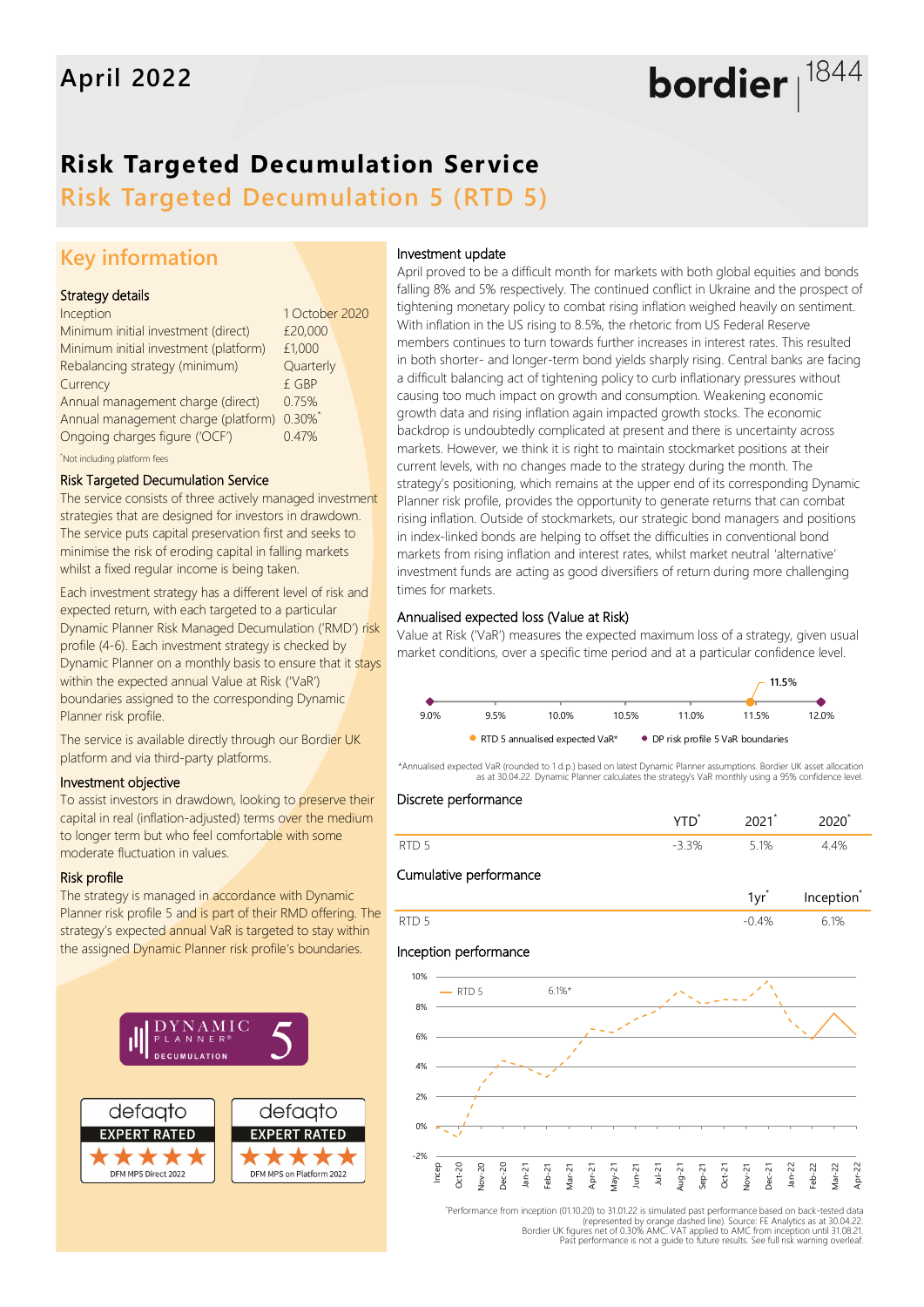# bordier  $1844$

## **Risk Targeted Decumulation Service**

**Risk Targeted Decumulation 5 (RTD 5)**

## **Key information**

#### Strategy details

| Inception                                  | 1 October 2020 |  |
|--------------------------------------------|----------------|--|
| Minimum initial investment (direct)        | £20,000        |  |
| Minimum initial investment (platform)      | £1,000         |  |
| Rebalancing strategy (minimum)             | Quarterly      |  |
| Currency                                   | £ GBP          |  |
| Annual management charge (direct)          | 0.75%          |  |
| Annual management charge (platform) 0.30%* |                |  |
| Ongoing charges figure ('OCF')             | 0.47%          |  |
| Not including platform fees                |                |  |

#### Risk Targeted Decumulation Service

The service consists of three actively managed investment strategies that are designed for investors in drawdown. The service puts capital preservation first and seeks to minimise the risk of eroding capital in falling markets whilst a fixed regular income is being taken.

Each investment strategy has a different level of risk and expected return, with each targeted to a particular Dynamic Planner Risk Managed Decumulation ('RMD') risk profile (4-6). Each investment strategy is checked by Dynamic Planner on a monthly basis to ensure that it stays within the expected annual Value at Risk ('VaR') boundaries assigned to the corresponding Dynamic Planner risk profile.

The service is available directly through our Bordier UK platform and via third-party platforms.

#### Investment objective

To assist investors in drawdown, looking to preserve their capital in real (inflation-adjusted) terms over the medium to longer term but who feel comfortable with some moderate fluctuation in values.

#### Risk profile

The strategy is managed in accordance with Dynamic Planner risk profile 5 and is part of their RMD offering. The strategy's expected annual VaR is targeted to stay within the assigned Dynamic Planner risk profile's boundaries.



#### Investment update

April proved to be a difficult month for markets with both global equities and bonds falling 8% and 5% respectively. The continued conflict in Ukraine and the prospect of tightening monetary policy to combat rising inflation weighed heavily on sentiment. With inflation in the US rising to 8.5%, the rhetoric from US Federal Reserve members continues to turn towards further increases in interest rates. This resulted in both shorter- and longer-term bond yields sharply rising. Central banks are facing a difficult balancing act of tightening policy to curb inflationary pressures without causing too much impact on growth and consumption. Weakening economic growth data and rising inflation again impacted growth stocks. The economic backdrop is undoubtedly complicated at present and there is uncertainty across markets. However, we think it is right to maintain stockmarket positions at their current levels, with no changes made to the strategy during the month. The strategy's positioning, which remains at the upper end of its corresponding Dynamic Planner risk profile, provides the opportunity to generate returns that can combat rising inflation. Outside of stockmarkets, our strategic bond managers and positions in index-linked bonds are helping to offset the difficulties in conventional bond markets from rising inflation and interest rates, whilst market neutral 'alternative' investment funds are acting as good diversifiers of return during more challenging times for markets.

#### Annualised expected loss (Value at Risk)

Value at Risk ('VaR') measures the expected maximum loss of a strategy, given usual market conditions, over a specific time period and at a particular confidence level.



\*Annualised expected VaR (rounded to 1 d.p.) based on latest Dynamic Planner assumptions. Bordier UK asset allocation as at 30.04.22. Dynamic Planner calculates the strategy's VaR monthly using a 95% confidence level.

#### Discrete performance

| RTD | 20/<br>$\overline{\phantom{a}}$ | 5.1% | $\Lambda$ <sup>O</sup> |
|-----|---------------------------------|------|------------------------|

#### Cumulative performance



#### Inception performance



\* Performance from inception (01.10.20) to 31.01.22 is simulated past performance based on back-tested data represented by orange dashed line). Source: FE Analytics as at 30.04.22)<br>Bordier UK figures net of 0.30% AMC. VAT applied to AMC from inception until 31.08.21<br>Past performance is not a quide to future results. See full ris